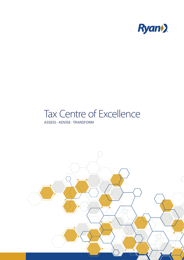

## Tax Centre of Excellence

### **ASSESS · ADVISE · TRANSFORM**

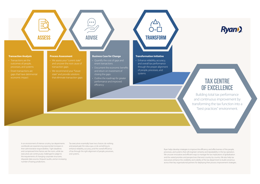**Transaction Analysis**

outcomes of people,

• Errant transactions are

gaps that have detrimental

economic impact

#### **Process Assessment**

- Quantify the cost of gaps and errant transactions
- Document the economic benefits and return on investment of closing the gaps
- Outline the roadmap for greater performance and improved efficiency

# **ASSESS ADVISE ADVISE TRANSFORM**

- and uncover the root cause of
	- state" and provide solutions that eliminate transaction gaps

• Enhance reliability, accuracy, and overall tax performance through the proper alignment of people, processes, and systems

#### **Business Case for Change**

 $\begin{pmatrix} 0 & 0 & 0 \\ 0 & 0 & 0 \\ 0 & 0 & 0 \\ 0 & 0 & 0 \\ 0 & 0 & 0 \\ 0 & 0 & 0 \\ 0 & 0 & 0 \\ 0 & 0 & 0 \\ 0 & 0 & 0 \\ 0 & 0 & 0 \\ 0 & 0 & 0 \\ 0 & 0 & 0 \\ 0 & 0 & 0 \\ 0 & 0 & 0 \\ 0 & 0 & 0 & 0 \\ 0 & 0 & 0 & 0 \\ 0 & 0 & 0 & 0 \\ 0 & 0 & 0 & 0 & 0 \\ 0 & 0 & 0 & 0 & 0 \\ 0 & 0 & 0 & 0 & 0 \\ 0 & 0 &$ 

#### **Transformation Initiative**

### **Tax CentRE of Excellence**

Building total tax performance and continuous improvement by transforming the tax function into a "best practices" environment.

Ryan helps develop strategies to improve the efficiency and effectiveness of the people, processes, and systems that will engineer certainty and repeatability in the tax operation. We uncover innovative and efficient ways to manage the tax implications of globalisation and the varied priorities and perspectives that exist country by country. We also help tax executives enhance the credibility and visibility of the tax department to build consensus across their key organisational partners for deploying their process improvement strategies.



In an environment of intense scrutiny, tax departments worldwide are experiencing exponential increases in their administrative responsibilities. Tight deadlines and compressed time frames are the norm, while tax executives are continuously challenged to adapt to the requirements of changing corporate structures, disparate data sources, frequent audits, and an increasing number of taxing jurisdictions.

Tax executives essentially have two choices: do nothing and perpetuate the status quo, or do something to enhance reliability, accuracy, and the overall efficiency of tax through the right alignment of people, processes, and systems.